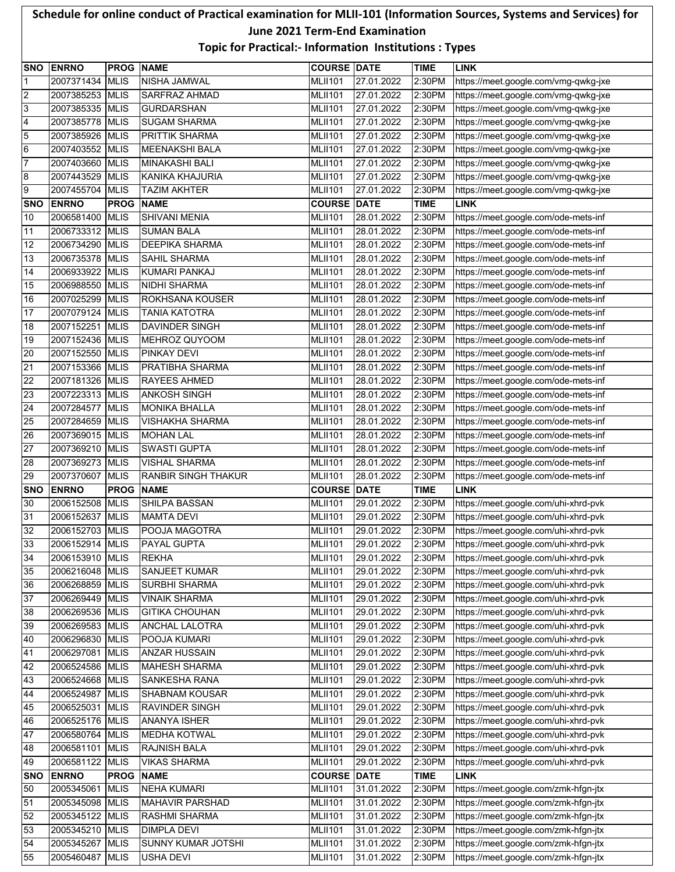## **Schedule for online conduct of Practical examination for MLII-101 (Information Sources, Systems and Services) for June 2021 Term-End Examination Topic for Practical:- Information Institutions : Types**

|                 | <b>SNO ENRNO</b> | <b>PROG NAME</b> |                            | <b>COURSE DATE</b> |             | <b>TIME</b> | <b>LINK</b>                          |
|-----------------|------------------|------------------|----------------------------|--------------------|-------------|-------------|--------------------------------------|
| 1               | 2007371434       | <b>MLIS</b>      | <b>NISHA JAMWAL</b>        | <b>MLII101</b>     | 27.01.2022  | 2:30PM      | https://meet.google.com/vmg-qwkg-jxe |
| 2               | 2007385253 MLIS  |                  | SARFRAZ AHMAD              | <b>MLII101</b>     | 27.01.2022  | 2:30PM      | https://meet.google.com/vmg-qwkg-jxe |
| 3               | 2007385335 MLIS  |                  | <b>GURDARSHAN</b>          | <b>MLII101</b>     | 27.01.2022  | 2:30PM      | https://meet.google.com/vmg-qwkg-jxe |
| 4               | 2007385778       | <b>MLIS</b>      | <b>SUGAM SHARMA</b>        | <b>MLII101</b>     | 27.01.2022  | 2:30PM      | https://meet.google.com/vmg-qwkg-jxe |
| 5               | 2007385926       | <b>MLIS</b>      | <b>PRITTIK SHARMA</b>      | <b>MLII101</b>     | 27.01.2022  | 2:30PM      | https://meet.google.com/vmg-qwkg-jxe |
| 6               | 2007403552 MLIS  |                  | <b>MEENAKSHI BALA</b>      | <b>MLII101</b>     | 27.01.2022  | 2:30PM      | https://meet.google.com/vmg-qwkg-jxe |
| 7               | 2007403660       | <b>MLIS</b>      | <b>MINAKASHI BALI</b>      | <b>MLII101</b>     | 27.01.2022  | 2:30PM      | https://meet.google.com/vmg-qwkg-jxe |
| 8               | 2007443529       | <b>MLIS</b>      | KANIKA KHAJURIA            | <b>MLII101</b>     | 27.01.2022  | 2:30PM      | https://meet.google.com/vmg-qwkg-jxe |
| 9               | 2007455704       | <b>MLIS</b>      | <b>TAZIM AKHTER</b>        | <b>MLII101</b>     | 27.01.2022  | 2:30PM      | https://meet.google.com/vmg-qwkg-jxe |
| <b>SNO</b>      | <b>ENRNO</b>     | <b>PROG</b>      | <b>NAME</b>                | <b>COURSE</b>      | <b>DATE</b> | <b>TIME</b> | <b>LINK</b>                          |
| 10              | 2006581400       | <b>MLIS</b>      | <b>SHIVANI MENIA</b>       | <b>MLII101</b>     | 28.01.2022  | 2:30PM      | https://meet.google.com/ode-mets-inf |
| 11              | 2006733312 MLIS  |                  | <b>SUMAN BALA</b>          | <b>MLII101</b>     | 28.01.2022  | 2:30PM      | https://meet.google.com/ode-mets-inf |
| 12              | 2006734290       | <b>MLIS</b>      | <b>DEEPIKA SHARMA</b>      | <b>MLII101</b>     | 28.01.2022  | 2:30PM      | https://meet.google.com/ode-mets-inf |
| 13              | 2006735378       | <b>MLIS</b>      | SAHIL SHARMA               | <b>MLII101</b>     | 28.01.2022  | 2:30PM      | https://meet.google.com/ode-mets-inf |
| 14              | 2006933922       | <b>MLIS</b>      | <b>KUMARI PANKAJ</b>       | <b>MLII101</b>     | 28.01.2022  | 2:30PM      | https://meet.google.com/ode-mets-inf |
| 15              | 2006988550       | <b>MLIS</b>      | <b>NIDHI SHARMA</b>        | <b>MLII101</b>     | 28.01.2022  | 2:30PM      | https://meet.google.com/ode-mets-inf |
| 16              | 2007025299       | <b>MLIS</b>      | ROKHSANA KOUSER            | <b>MLII101</b>     | 28.01.2022  | 2:30PM      | https://meet.google.com/ode-mets-inf |
| 17              | 2007079124       | <b>MLIS</b>      | <b>TANIA KATOTRA</b>       | <b>MLII101</b>     | 28.01.2022  | 2:30PM      | https://meet.google.com/ode-mets-inf |
| 18              | 2007152251 MLIS  |                  | <b>DAVINDER SINGH</b>      | <b>MLII101</b>     | 28.01.2022  | 2:30PM      | https://meet.google.com/ode-mets-inf |
| 19              | 2007152436 MLIS  |                  | MEHROZ QUYOOM              | <b>MLII101</b>     | 28.01.2022  | 2:30PM      | https://meet.google.com/ode-mets-inf |
| 20              | 2007152550 MLIS  |                  | PINKAY DEVI                | <b>MLII101</b>     | 28.01.2022  | 2:30PM      | https://meet.google.com/ode-mets-inf |
| 21              | 2007153366 MLIS  |                  | PRATIBHA SHARMA            | <b>MLII101</b>     | 28.01.2022  | 2:30PM      | https://meet.google.com/ode-mets-inf |
| 22              | 2007181326       | <b>MLIS</b>      | <b>RAYEES AHMED</b>        | <b>MLII101</b>     | 28.01.2022  | 2:30PM      | https://meet.google.com/ode-mets-inf |
| $\overline{23}$ | 2007223313 MLIS  |                  | <b>ANKOSH SINGH</b>        | <b>MLII101</b>     | 28.01.2022  | 2:30PM      | https://meet.google.com/ode-mets-inf |
| $\overline{24}$ | 2007284577       | <b>MLIS</b>      | <b>MONIKA BHALLA</b>       | <b>MLII101</b>     | 28.01.2022  | 2:30PM      | https://meet.google.com/ode-mets-inf |
| 25              | 2007284659 MLIS  |                  | <b>VISHAKHA SHARMA</b>     | <b>MLII101</b>     | 28.01.2022  | 2:30PM      | https://meet.google.com/ode-mets-inf |
| 26              | 2007369015 MLIS  |                  | <b>MOHAN LAL</b>           | <b>MLII101</b>     | 28.01.2022  | 2:30PM      | https://meet.google.com/ode-mets-inf |
| $\overline{27}$ | 2007369210 MLIS  |                  | <b>SWASTI GUPTA</b>        | <b>MLII101</b>     | 28.01.2022  | 2:30PM      | https://meet.google.com/ode-mets-inf |
| 28              | 2007369273 MLIS  |                  | <b>VISHAL SHARMA</b>       | <b>MLII101</b>     | 28.01.2022  | 2:30PM      | https://meet.google.com/ode-mets-inf |
| 29              | 2007370607       | <b>MLIS</b>      | <b>RANBIR SINGH THAKUR</b> | <b>MLII101</b>     | 28.01.2022  | 2:30PM      | https://meet.google.com/ode-mets-inf |
| <b>SNO</b>      | <b>ENRNO</b>     | <b>PROG</b>      | <b>NAME</b>                | <b>COURSE DATE</b> |             | <b>TIME</b> | <b>LINK</b>                          |
| 30              | 2006152508       | <b>MLIS</b>      | SHILPA BASSAN              | <b>MLII101</b>     | 29.01.2022  | 2:30PM      | https://meet.google.com/uhi-xhrd-pvk |
| 31              | 2006152637       | <b>MLIS</b>      | <b>MAMTA DEVI</b>          | <b>MLII101</b>     | 29.01.2022  | 2:30PM      | https://meet.google.com/uhi-xhrd-pvk |
| 32              | 2006152703       | <b>MLIS</b>      | POOJA MAGOTRA              | <b>MLII101</b>     | 29.01.2022  | 2:30PM      | https://meet.google.com/uhi-xhrd-pvk |
| 33              | 2006152914 MLIS  |                  | PAYAL GUPTA                | <b>MLII101</b>     | 29.01.2022  | 2:30PM      | https://meet.google.com/uhi-xhrd-pvk |
| 34              | 2006153910 MLIS  |                  | <b>REKHA</b>               | <b>MLII101</b>     | 29.01.2022  | 2:30PM      | https://meet.google.com/uhi-xhrd-pvk |
| 35              | 2006216048 MLIS  |                  | SANJEET KUMAR              | <b>MLII101</b>     | 29.01.2022  | 2:30PM      | https://meet.google.com/uhi-xhrd-pvk |
| 36              | 2006268859 MLIS  |                  | <b>SURBHI SHARMA</b>       | <b>MLII101</b>     | 29.01.2022  | 2:30PM      | https://meet.google.com/uhi-xhrd-pvk |
| 37              | 2006269449 MLIS  |                  | <b>VINAIK SHARMA</b>       | <b>MLII101</b>     | 29.01.2022  | 2:30PM      | https://meet.google.com/uhi-xhrd-pvk |
| 38              | 2006269536 MLIS  |                  | <b>GITIKA CHOUHAN</b>      | <b>MLII101</b>     | 29.01.2022  | 2:30PM      | https://meet.google.com/uhi-xhrd-pvk |
| 39              | 2006269583 MLIS  |                  | ANCHAL LALOTRA             | <b>MLII101</b>     | 29.01.2022  | 2:30PM      | https://meet.google.com/uhi-xhrd-pvk |
| 40              | 2006296830 MLIS  |                  | POOJA KUMARI               | <b>MLII101</b>     | 29.01.2022  | 2:30PM      | https://meet.google.com/uhi-xhrd-pvk |
| 41              | 2006297081       | <b>MLIS</b>      | <b>ANZAR HUSSAIN</b>       | <b>MLII101</b>     | 29.01.2022  | 2:30PM      | https://meet.google.com/uhi-xhrd-pvk |
| 42              | 2006524586 MLIS  |                  | <b>MAHESH SHARMA</b>       | <b>MLII101</b>     | 29.01.2022  | 2:30PM      | https://meet.google.com/uhi-xhrd-pvk |
| 43              | 2006524668 MLIS  |                  | <b>SANKESHA RANA</b>       | <b>MLII101</b>     | 29.01.2022  | 2:30PM      | https://meet.google.com/uhi-xhrd-pvk |
| 44              | 2006524987 MLIS  |                  | <b>SHABNAM KOUSAR</b>      | <b>MLII101</b>     | 29.01.2022  | 2:30PM      | https://meet.google.com/uhi-xhrd-pvk |
| 45              | 2006525031       | <b>MLIS</b>      | <b>RAVINDER SINGH</b>      | <b>MLII101</b>     | 29.01.2022  | 2:30PM      | https://meet.google.com/uhi-xhrd-pvk |
| 46              | 2006525176 MLIS  |                  | <b>ANANYA ISHER</b>        | <b>MLII101</b>     | 29.01.2022  | 2:30PM      | https://meet.google.com/uhi-xhrd-pvk |
| 47              | 2006580764 MLIS  |                  | <b>MEDHA KOTWAL</b>        | <b>MLII101</b>     | 29.01.2022  | 2:30PM      | https://meet.google.com/uhi-xhrd-pvk |
| 48              | 2006581101       | <b>MLIS</b>      | <b>RAJNISH BALA</b>        | <b>MLII101</b>     | 29.01.2022  | 2:30PM      | https://meet.google.com/uhi-xhrd-pvk |
| 49              | 2006581122 MLIS  |                  | <b>VIKAS SHARMA</b>        | <b>MLII101</b>     | 29.01.2022  | 2:30PM      | https://meet.google.com/uhi-xhrd-pvk |
| <b>SNO</b>      | <b>ENRNO</b>     | <b>PROG</b>      | <b>NAME</b>                | <b>COURSE DATE</b> |             | <b>TIME</b> | <b>LINK</b>                          |
| 50              | 2005345061       | <b>MLIS</b>      | <b>NEHA KUMARI</b>         | <b>MLII101</b>     | 31.01.2022  | 2:30PM      | https://meet.google.com/zmk-hfgn-jtx |
| 51              | 2005345098 MLIS  |                  | MAHAVIR PARSHAD            | <b>MLII101</b>     | 31.01.2022  | 2:30PM      | https://meet.google.com/zmk-hfgn-jtx |
| 52              | 2005345122 MLIS  |                  | RASHMI SHARMA              | <b>MLII101</b>     | 31.01.2022  | 2:30PM      | https://meet.google.com/zmk-hfgn-jtx |
| 53              | 2005345210 MLIS  |                  | <b>DIMPLA DEVI</b>         | <b>MLII101</b>     | 31.01.2022  | 2:30PM      | https://meet.google.com/zmk-hfgn-jtx |
| 54              | 2005345267 MLIS  |                  | SUNNY KUMAR JOTSHI         | <b>MLII101</b>     | 31.01.2022  | 2:30PM      | https://meet.google.com/zmk-hfgn-jtx |
| 55              | 2005460487 MLIS  |                  | <b>USHA DEVI</b>           | <b>MLII101</b>     | 31.01.2022  | 2:30PM      | https://meet.google.com/zmk-hfgn-jtx |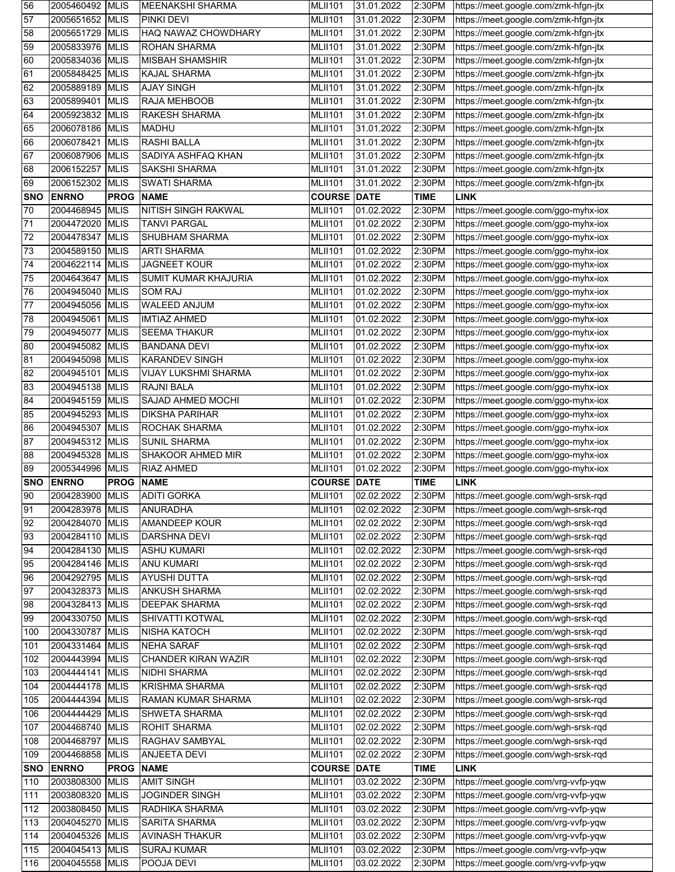| 56         | 2005460492 MLIS          |                  | <b>MEENAKSHI SHARMA</b>          | <b>MLII101</b>     | 31.01.2022  | 2:30PM      | https://meet.google.com/zmk-hfgn-jtx |
|------------|--------------------------|------------------|----------------------------------|--------------------|-------------|-------------|--------------------------------------|
| 57         | 2005651652 MLIS          |                  | <b>PINKI DEVI</b>                | <b>MLII101</b>     | 31.01.2022  | 2:30PM      | https://meet.google.com/zmk-hfgn-jtx |
| 58         | 2005651729               | <b>MLIS</b>      | HAQ NAWAZ CHOWDHARY              | <b>MLII101</b>     | 31.01.2022  | 2:30PM      | https://meet.google.com/zmk-hfgn-jtx |
| 59         | 2005833976               | <b>MLIS</b>      | <b>ROHAN SHARMA</b>              | <b>MLII101</b>     | 31.01.2022  | 2:30PM      | https://meet.google.com/zmk-hfgn-jtx |
| 60         | 2005834036               | <b>MLIS</b>      | <b>MISBAH SHAMSHIR</b>           | <b>MLII101</b>     | 31.01.2022  | 2:30PM      | https://meet.google.com/zmk-hfgn-jtx |
| 61         | 2005848425               | <b>MLIS</b>      | KAJAL SHARMA                     | <b>MLII101</b>     | 31.01.2022  | 2:30PM      | https://meet.google.com/zmk-hfgn-jtx |
| 62         | 2005889189               | <b>MLIS</b>      | <b>AJAY SINGH</b>                | <b>MLII101</b>     | 31.01.2022  | 2:30PM      | https://meet.google.com/zmk-hfgn-jtx |
| 63         | 2005899401               | <b>MLIS</b>      | RAJA MEHBOOB                     | <b>MLII101</b>     | 31.01.2022  | 2:30PM      | https://meet.google.com/zmk-hfgn-jtx |
| 64         | 2005923832               | <b>MLIS</b>      | RAKESH SHARMA                    | <b>MLII101</b>     | 31.01.2022  | 2:30PM      | https://meet.google.com/zmk-hfgn-jtx |
| 65         | 2006078186               | <b>MLIS</b>      | <b>MADHU</b>                     | <b>MLII101</b>     | 31.01.2022  | 2:30PM      | https://meet.google.com/zmk-hfgn-jtx |
| 66         | 2006078421               | <b>MLIS</b>      | <b>RASHI BALLA</b>               | <b>MLII101</b>     | 31.01.2022  | 2:30PM      | https://meet.google.com/zmk-hfgn-jtx |
| 67         | 2006087906               | <b>MLIS</b>      | SADIYA ASHFAQ KHAN               | <b>MLII101</b>     | 31.01.2022  | 2:30PM      | https://meet.google.com/zmk-hfgn-jtx |
| 68         | 2006152257               | <b>MLIS</b>      | <b>SAKSHI SHARMA</b>             | <b>MLII101</b>     | 31.01.2022  | 2:30PM      | https://meet.google.com/zmk-hfgn-jtx |
| 69         | 2006152302               | <b>MLIS</b>      | <b>SWATI SHARMA</b>              | <b>MLII101</b>     | 31.01.2022  | 2:30PM      | https://meet.google.com/zmk-hfgn-jtx |
| <b>SNO</b> | <b>ENRNO</b>             | <b>PROG</b>      | <b>NAME</b>                      | <b>COURSE</b>      | <b>DATE</b> | <b>TIME</b> | <b>LINK</b>                          |
| 70         | 2004468945               | <b>MLIS</b>      | NITISH SINGH RAKWAL              | <b>MLII101</b>     | 01.02.2022  | 2:30PM      | https://meet.google.com/ggo-myhx-iox |
| 71         | 2004472020               | <b>MLIS</b>      | <b>TANVI PARGAL</b>              | <b>MLII101</b>     | 01.02.2022  | 2:30PM      | https://meet.google.com/ggo-myhx-iox |
| 72         | 2004478347               | <b>MLIS</b>      | SHUBHAM SHARMA                   | <b>MLII101</b>     | 01.02.2022  | 2:30PM      | https://meet.google.com/ggo-myhx-iox |
| 73         | 2004589150               | <b>MLIS</b>      | <b>ARTI SHARMA</b>               | <b>MLII101</b>     | 01.02.2022  | 2:30PM      | https://meet.google.com/ggo-myhx-iox |
| 74         | 2004622114               | <b>MLIS</b>      | <b>JAGNEET KOUR</b>              | <b>MLII101</b>     | 01.02.2022  | 2:30PM      | https://meet.google.com/ggo-myhx-iox |
| 75         | 2004643647               | <b>MLIS</b>      | SUMIT KUMAR KHAJURIA             | <b>MLII101</b>     | 01.02.2022  | 2:30PM      | https://meet.google.com/ggo-myhx-iox |
| 76         | 2004945040               | <b>MLIS</b>      | <b>SOM RAJ</b>                   | <b>MLII101</b>     | 01.02.2022  | 2:30PM      | https://meet.google.com/ggo-myhx-iox |
| 77         | 2004945056               | <b>MLIS</b>      | WALEED ANJUM                     | <b>MLII101</b>     | 01.02.2022  | 2:30PM      | https://meet.google.com/ggo-myhx-iox |
| 78         | 2004945061 MLIS          |                  | <b>IMTIAZ AHMED</b>              | <b>MLII101</b>     | 01.02.2022  | 2:30PM      | https://meet.google.com/ggo-myhx-iox |
| 79         | 2004945077               | <b>MLIS</b>      | <b>SEEMA THAKUR</b>              | <b>MLII101</b>     | 01.02.2022  | 2:30PM      | https://meet.google.com/ggo-myhx-iox |
| 80         | 2004945082               | <b>MLIS</b>      | <b>BANDANA DEVI</b>              | <b>MLII101</b>     | 01.02.2022  | 2:30PM      | https://meet.google.com/ggo-myhx-iox |
| 81         | 2004945098               | <b>MLIS</b>      | <b>KARANDEV SINGH</b>            | <b>MLII101</b>     | 01.02.2022  | 2:30PM      | https://meet.google.com/ggo-myhx-iox |
| 82         | 2004945101               | <b>MLIS</b>      | <b>VIJAY LUKSHMI SHARMA</b>      | <b>MLII101</b>     | 01.02.2022  | 2:30PM      | https://meet.google.com/ggo-myhx-iox |
| 83         | 2004945138               | <b>MLIS</b>      | RAJNI BALA                       | <b>MLII101</b>     | 01.02.2022  | 2:30PM      | https://meet.google.com/ggo-myhx-iox |
| 84         | 2004945159               | <b>MLIS</b>      | SAJAD AHMED MOCHI                | <b>MLII101</b>     | 01.02.2022  | 2:30PM      | https://meet.google.com/ggo-myhx-iox |
| 85         | 2004945293               | <b>MLIS</b>      | <b>DIKSHA PARIHAR</b>            | <b>MLII101</b>     | 01.02.2022  | 2:30PM      | https://meet.google.com/ggo-myhx-iox |
| 86         | 2004945307               | <b>MLIS</b>      | ROCHAK SHARMA                    | <b>MLII101</b>     | 01.02.2022  | 2:30PM      | https://meet.google.com/ggo-myhx-iox |
| 87         | 2004945312               |                  | <b>SUNIL SHARMA</b>              |                    |             |             |                                      |
|            |                          | <b>MLIS</b>      |                                  | <b>MLII101</b>     | 01.02.2022  | 2:30PM      | https://meet.google.com/ggo-myhx-iox |
| 88         | 2004945328               | <b>MLIS</b>      | SHAKOOR AHMED MIR                | <b>MLII101</b>     | 01.02.2022  | 2:30PM      | https://meet.google.com/ggo-myhx-iox |
| 89         | 2005344996               | <b>MLIS</b>      | RIAZ AHMED                       | <b>MLII101</b>     | 01.02.2022  | 2:30PM      | https://meet.google.com/ggo-myhx-iox |
| <b>SNO</b> | <b>ENRNO</b>             | <b>PROG NAME</b> |                                  | <b>COURSE DATE</b> |             | <b>TIME</b> | <b>LINK</b>                          |
| 90         |                          |                  | 2004283900 MLIS ADITI GORKA      | <b>MLII101</b>     | 02.02.2022  | 2:30PM      | https://meet.google.com/wgh-srsk-rqd |
| 91         | 2004283978 MLIS          |                  | ANURADHA                         | <b>MLII101</b>     | 02.02.2022  | 2:30PM      | https://meet.google.com/wgh-srsk-rqd |
| 92         | 2004284070 MLIS          |                  | AMANDEEP KOUR                    | <b>MLII101</b>     | 02.02.2022  | 2:30PM      | https://meet.google.com/wgh-srsk-rqd |
| 93         | 2004284110 MLIS          |                  | <b>DARSHNA DEVI</b>              | <b>MLII101</b>     | 02.02.2022  | 2:30PM      | https://meet.google.com/wgh-srsk-rqd |
| 94         | 2004284130               | <b>MLIS</b>      | <b>ASHU KUMARI</b>               | <b>MLII101</b>     | 02.02.2022  | 2:30PM      | https://meet.google.com/wgh-srsk-rqd |
| 95         | 2004284146               | <b>MLIS</b>      | ANU KUMARI                       | <b>MLII101</b>     | 02.02.2022  | 2:30PM      | https://meet.google.com/wgh-srsk-rqd |
| 96         | 2004292795               | <b>MLIS</b>      | <b>AYUSHI DUTTA</b>              | <b>MLII101</b>     | 02.02.2022  | 2:30PM      | https://meet.google.com/wgh-srsk-rqd |
| 97         | 2004328373               | <b>MLIS</b>      | <b>ANKUSH SHARMA</b>             | <b>MLII101</b>     | 02.02.2022  | 2:30PM      | https://meet.google.com/wgh-srsk-rqd |
| 98         | 2004328413 MLIS          |                  | DEEPAK SHARMA                    | <b>MLII101</b>     | 02.02.2022  | 2:30PM      | https://meet.google.com/wgh-srsk-rqd |
| 99         | 2004330750               | <b>MLIS</b>      | SHIVATTI KOTWAL                  | <b>MLII101</b>     | 02.02.2022  | 2:30PM      | https://meet.google.com/wgh-srsk-rqd |
| 100        | 2004330787               | <b>MLIS</b>      | <b>NISHA KATOCH</b>              | <b>MLII101</b>     | 02.02.2022  | 2:30PM      | https://meet.google.com/wgh-srsk-rqd |
| 101        | 2004331464               | <b>MLIS</b>      | <b>NEHA SARAF</b>                | <b>MLII101</b>     | 02.02.2022  | 2:30PM      | https://meet.google.com/wgh-srsk-rqd |
| 102        | 2004443994 MLIS          |                  | <b>CHANDER KIRAN WAZIR</b>       | <b>MLII101</b>     | 02.02.2022  | 2:30PM      | https://meet.google.com/wgh-srsk-rqd |
| 103        | 2004444141 MLIS          |                  | <b>NIDHI SHARMA</b>              | <b>MLII101</b>     | 02.02.2022  | 2:30PM      | https://meet.google.com/wgh-srsk-rqd |
| 104        | 2004444178               | <b>MLIS</b>      | <b>KRISHMA SHARMA</b>            | <b>MLII101</b>     | 02.02.2022  | 2:30PM      | https://meet.google.com/wgh-srsk-rqd |
| 105        | 2004444394               | <b>MLIS</b>      | RAMAN KUMAR SHARMA               | <b>MLII101</b>     | 02.02.2022  | 2:30PM      | https://meet.google.com/wgh-srsk-rqd |
| 106        | 2004444429               | <b>MLIS</b>      | <b>SHWETA SHARMA</b>             | <b>MLII101</b>     | 02.02.2022  | 2:30PM      | https://meet.google.com/wgh-srsk-rqd |
| 107        | 2004468740               | <b>MLIS</b>      | <b>ROHIT SHARMA</b>              | <b>MLII101</b>     | 02.02.2022  | 2:30PM      | https://meet.google.com/wgh-srsk-rqd |
| 108        | 2004468797               | <b>MLIS</b>      | RAGHAV SAMBYAL                   | <b>MLII101</b>     | 02.02.2022  | 2:30PM      | https://meet.google.com/wgh-srsk-rqd |
| 109        | 2004468858               | <b>MLIS</b>      | ANJEETA DEVI                     | <b>MLII101</b>     | 02.02.2022  | 2:30PM      | https://meet.google.com/wgh-srsk-rqd |
| <b>SNO</b> | <b>ENRNO</b>             | <b>PROG</b>      | <b>NAME</b>                      | <b>COURSE DATE</b> |             | <b>TIME</b> | <b>LINK</b>                          |
| 110        | 2003808300               | <b>MLIS</b>      | <b>AMIT SINGH</b>                | <b>MLII101</b>     | 03.02.2022  | 2:30PM      | https://meet.google.com/vrg-vvfp-yqw |
| 111        | 2003808320               | <b>MLIS</b>      | JOGINDER SINGH                   | <b>MLII101</b>     | 03.02.2022  | 2:30PM      | https://meet.google.com/vrg-vvfp-yqw |
| 112        | 2003808450               | <b>MLIS</b>      | RADHIKA SHARMA                   | <b>MLII101</b>     | 03.02.2022  | 2:30PM      | https://meet.google.com/vrg-vvfp-yqw |
| 113        | 2004045270               | <b>MLIS</b>      | <b>SARITA SHARMA</b>             | <b>MLII101</b>     | 03.02.2022  | 2:30PM      | https://meet.google.com/vrg-vvfp-yqw |
| 114        | 2004045326               | <b>MLIS</b>      | <b>AVINASH THAKUR</b>            | <b>MLII101</b>     | 03.02.2022  | 2:30PM      | https://meet.google.com/vrg-vvfp-yqw |
| 115        | 2004045413<br>2004045558 | <b>MLIS</b>      | <b>SURAJ KUMAR</b><br>POOJA DEVI | <b>MLII101</b>     | 03.02.2022  | 2:30PM      | https://meet.google.com/vrg-vvfp-yqw |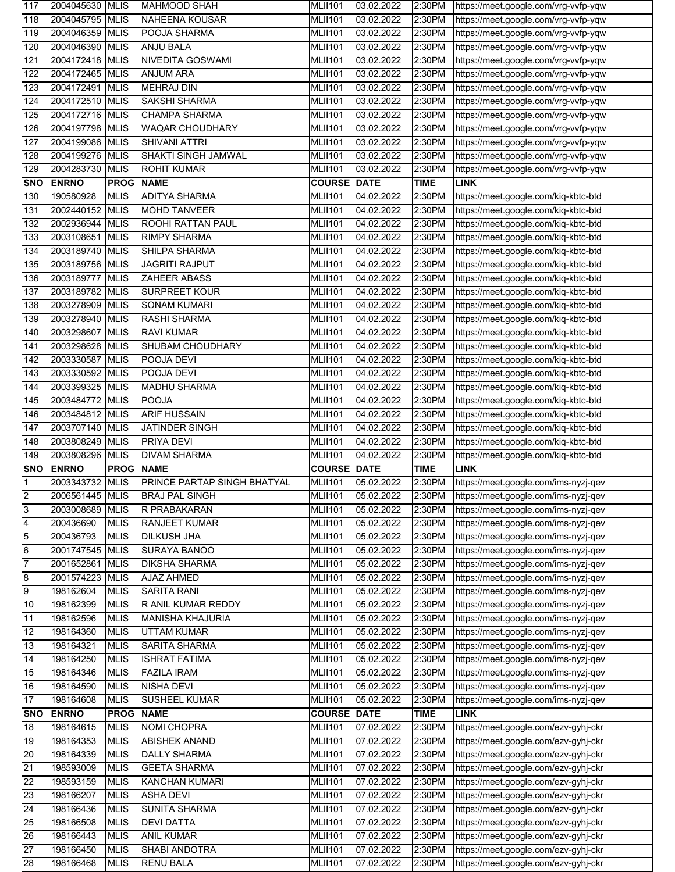| 117                     | 2004045630 MLIS        |                            | <b>MAHMOOD SHAH</b>               | <b>MLII101</b>                   | 03.02.2022               | 2:30PM           | https://meet.google.com/vrg-vvfp-yqw                                         |
|-------------------------|------------------------|----------------------------|-----------------------------------|----------------------------------|--------------------------|------------------|------------------------------------------------------------------------------|
| 118                     | 2004045795             | <b>MLIS</b>                | NAHEENA KOUSAR                    | <b>MLII101</b>                   | 03.02.2022               | 2:30PM           | https://meet.google.com/vrg-vvfp-yqw                                         |
| 119                     | 2004046359 MLIS        |                            | POOJA SHARMA                      | <b>MLII101</b>                   | 03.02.2022               | 2:30PM           | https://meet.google.com/vrg-vvfp-yqw                                         |
| 120                     | 2004046390 MLIS        |                            | <b>ANJU BALA</b>                  | <b>MLII101</b>                   | 03.02.2022               | 2:30PM           | https://meet.google.com/vrg-vvfp-yqw                                         |
| 121                     | 2004172418 MLIS        |                            | NIVEDITA GOSWAMI                  | <b>MLII101</b>                   | 03.02.2022               | 2:30PM           | https://meet.google.com/vrg-vvfp-yqw                                         |
| 122                     | 2004172465             | <b>MLIS</b>                | ANJUM ARA                         | <b>MLII101</b>                   | 03.02.2022               | 2:30PM           | https://meet.google.com/vrg-vvfp-yqw                                         |
| 123                     | 2004172491 MLIS        |                            | <b>MEHRAJ DIN</b>                 | <b>MLII101</b>                   | 03.02.2022               | 2:30PM           | https://meet.google.com/vrg-vvfp-yqw                                         |
| 124                     | 2004172510             | <b>MLIS</b>                | <b>SAKSHI SHARMA</b>              | <b>MLII101</b>                   | 03.02.2022               | 2:30PM           | https://meet.google.com/vrg-vvfp-yqw                                         |
| 125                     | 2004172716             | <b>MLIS</b>                | <b>CHAMPA SHARMA</b>              | <b>MLII101</b>                   | 03.02.2022               | 2:30PM           | https://meet.google.com/vrg-vvfp-yqw                                         |
| 126                     | 2004197798             | <b>MLIS</b>                | <b>WAQAR CHOUDHARY</b>            | <b>MLII101</b>                   | 03.02.2022               | 2:30PM           | https://meet.google.com/vrg-vvfp-yqw                                         |
| 127                     | 2004199086             | <b>MLIS</b>                | <b>SHIVANI ATTRI</b>              | <b>MLII101</b>                   | 03.02.2022               | 2:30PM           | https://meet.google.com/vrg-vvfp-yqw                                         |
| 128                     | 2004199276             | <b>MLIS</b>                | SHAKTI SINGH JAMWAL               | <b>MLII101</b>                   | 03.02.2022               | 2:30PM           | https://meet.google.com/vrg-vvfp-yqw                                         |
| 129                     | 2004283730             | <b>MLIS</b>                | <b>ROHIT KUMAR</b>                | <b>MLII101</b>                   | 03.02.2022               | 2:30PM           | https://meet.google.com/vrg-vvfp-yqw                                         |
| <b>SNO</b>              | <b>ENRNO</b>           | <b>PROG</b>                | <b>NAME</b>                       | <b>COURSE DATE</b>               |                          | <b>TIME</b>      | <b>LINK</b>                                                                  |
| 130                     | 190580928              | <b>MLIS</b>                | <b>ADITYA SHARMA</b>              | <b>MLII101</b>                   | 04.02.2022               | 2:30PM           | https://meet.google.com/kiq-kbtc-btd                                         |
| 131                     | 2002440152             | <b>MLIS</b>                | MOHD TANVEER                      | <b>MLII101</b>                   | 04.02.2022               | 2:30PM           | https://meet.google.com/kiq-kbtc-btd                                         |
| 132                     | 2002936944             | <b>MLIS</b>                | ROOHI RATTAN PAUL                 | <b>MLII101</b>                   | 04.02.2022               | 2:30PM           | https://meet.google.com/kiq-kbtc-btd                                         |
| 133                     | 2003108651             | <b>MLIS</b>                | <b>RIMPY SHARMA</b>               | <b>MLII101</b>                   | 04.02.2022               | 2:30PM           | https://meet.google.com/kiq-kbtc-btd                                         |
| 134                     | 2003189740 MLIS        |                            | SHILPA SHARMA                     | <b>MLII101</b>                   | 04.02.2022               | 2:30PM           | https://meet.google.com/kiq-kbtc-btd                                         |
| 135                     | 2003189756 MLIS        |                            | <b>JAGRITI RAJPUT</b>             | <b>MLII101</b>                   | 04.02.2022               | 2:30PM           | https://meet.google.com/kiq-kbtc-btd                                         |
| 136                     | 2003189777             | <b>MLIS</b>                | ZAHEER ABASS                      | <b>MLII101</b>                   | 04.02.2022               | 2:30PM           | https://meet.google.com/kiq-kbtc-btd                                         |
| 137                     | 2003189782             | <b>MLIS</b>                | SURPREET KOUR                     | <b>MLII101</b>                   | 04.02.2022               | 2:30PM           | https://meet.google.com/kiq-kbtc-btd                                         |
| 138                     | 2003278909             | <b>MLIS</b>                | <b>SONAM KUMARI</b>               | <b>MLII101</b>                   | 04.02.2022               | 2:30PM           | https://meet.google.com/kiq-kbtc-btd                                         |
| 139                     | 2003278940             | <b>MLIS</b>                | RASHI SHARMA                      | <b>MLII101</b>                   | 04.02.2022               | 2:30PM           | https://meet.google.com/kiq-kbtc-btd                                         |
| 140                     | 2003298607             | <b>MLIS</b>                | <b>RAVI KUMAR</b>                 | <b>MLII101</b>                   | 04.02.2022               | 2:30PM           | https://meet.google.com/kiq-kbtc-btd                                         |
| 141                     | 2003298628             | <b>MLIS</b>                | SHUBAM CHOUDHARY                  | <b>MLII101</b>                   | 04.02.2022               | 2:30PM           | https://meet.google.com/kiq-kbtc-btd                                         |
| 142                     | 2003330587             | <b>MLIS</b>                | POOJA DEVI                        | <b>MLII101</b>                   | 04.02.2022               | 2:30PM           | https://meet.google.com/kiq-kbtc-btd                                         |
| 143                     | 2003330592             | <b>MLIS</b>                | POOJA DEVI                        | <b>MLII101</b>                   | 04.02.2022               | 2:30PM           | https://meet.google.com/kiq-kbtc-btd                                         |
| 144                     | 2003399325             | <b>MLIS</b>                | <b>MADHU SHARMA</b>               | <b>MLII101</b>                   | 04.02.2022               | 2:30PM           | https://meet.google.com/kiq-kbtc-btd                                         |
| 145                     | 2003484772             | <b>MLIS</b>                | <b>POOJA</b>                      | <b>MLII101</b>                   | 04.02.2022               | 2:30PM           | https://meet.google.com/kiq-kbtc-btd                                         |
| 146                     | 2003484812 MLIS        |                            | <b>ARIF HUSSAIN</b>               | <b>MLII101</b>                   | 04.02.2022               | 2:30PM           | https://meet.google.com/kiq-kbtc-btd                                         |
| 147                     | 2003707140 MLIS        |                            | <b>JATINDER SINGH</b>             | <b>MLII101</b>                   | 04.02.2022               | 2:30PM           | https://meet.google.com/kiq-kbtc-btd                                         |
|                         |                        |                            |                                   |                                  |                          |                  |                                                                              |
| 148                     | 2003808249             | <b>MLIS</b>                | PRIYA DEVI                        | <b>MLII101</b>                   | 04.02.2022               | 2:30PM           | https://meet.google.com/kiq-kbtc-btd                                         |
| 149                     | 2003808296 MLIS        |                            | <b>DIVAM SHARMA</b>               | <b>MLII101</b>                   | 04.02.2022               | 2:30PM           | https://meet.google.com/kiq-kbtc-btd                                         |
| <b>SNO</b>              | <b>ENRNO</b>           | <b>PROG</b>                | <b>NAME</b>                       | <b>COURSE DATE</b>               |                          | <b>TIME</b>      | <b>LINK</b>                                                                  |
| $\vert$ 1               | 2003343732 MLIS        |                            | PRINCE PARTAP SINGH BHATYAL       | <b>MLII101</b>                   | 05.02.2022               | 2:30PM           | https://meet.google.com/ims-nyzj-qev                                         |
| $\overline{2}$          | 2006561445 MLIS        |                            | <b>BRAJ PAL SINGH</b>             | <b>MLII101</b>                   | 05.02.2022               | 2:30PM           | https://meet.google.com/ims-nyzj-qev                                         |
| $\mathbf{3}$            | 2003008689             | <b>MLIS</b>                | R PRABAKARAN                      | <b>MLII101</b>                   | 05.02.2022               | 2:30PM           | https://meet.google.com/ims-nyzj-qev                                         |
| $\overline{\mathbf{4}}$ | 200436690              | <b>MLIS</b>                | RANJEET KUMAR                     | <b>MLII101</b>                   | 05.02.2022               | 2:30PM           | https://meet.google.com/ims-nyzj-qev                                         |
| $\overline{5}$          | 200436793              | <b>MLIS</b>                | <b>DILKUSH JHA</b>                | <b>MLII101</b>                   | 05.02.2022               | 2:30PM           | https://meet.google.com/ims-nyzj-qev                                         |
| $6\overline{6}$         | 2001747545             | <b>MLIS</b>                | SURAYA BANOO                      | <b>MLII101</b>                   | 05.02.2022               | 2:30PM           | https://meet.google.com/ims-nyzj-qev                                         |
| $\overline{7}$          | 2001652861             | <b>MLIS</b>                | <b>DIKSHA SHARMA</b>              | <b>MLII101</b>                   | 05.02.2022               | 2:30PM           | https://meet.google.com/ims-nyzj-qev                                         |
| $\bf{8}$                | 2001574223             | <b>MLIS</b>                | AJAZ AHMED                        | <b>MLII101</b>                   | 05.02.2022               | 2:30PM           | https://meet.google.com/ims-nyzj-qev                                         |
| $\overline{9}$          | 198162604              | <b>MLIS</b>                | SARITA RANI                       | <b>MLII101</b>                   | 05.02.2022               | 2:30PM           | https://meet.google.com/ims-nyzj-qev                                         |
| 10                      | 198162399              | <b>MLIS</b>                | R ANIL KUMAR REDDY                | <b>MLII101</b>                   | 05.02.2022               | 2:30PM           | https://meet.google.com/ims-nyzj-qev                                         |
| 11                      | 198162596              | <b>MLIS</b>                | <b>MANISHA KHAJURIA</b>           | <b>MLII101</b>                   | 05.02.2022               | 2:30PM           | https://meet.google.com/ims-nyzj-qev                                         |
| 12                      | 198164360              | <b>MLIS</b>                | <b>UTTAM KUMAR</b>                | <b>MLII101</b>                   | 05.02.2022               | 2:30PM           | https://meet.google.com/ims-nyzj-qev                                         |
| 13                      | 198164321              | <b>MLIS</b>                | <b>SARITA SHARMA</b>              | <b>MLII101</b>                   | 05.02.2022               | 2:30PM           | https://meet.google.com/ims-nyzj-qev                                         |
| 14                      | 198164250              | <b>MLIS</b>                | <b>ISHRAT FATIMA</b>              | <b>MLII101</b>                   | 05.02.2022               | 2:30PM           | https://meet.google.com/ims-nyzj-qev                                         |
| 15                      | 198164346              | <b>MLIS</b>                | <b>FAZILA IRAM</b>                | <b>MLII101</b>                   | 05.02.2022               | 2:30PM           | https://meet.google.com/ims-nyzj-qev                                         |
| 16                      | 198164590              | <b>MLIS</b>                | NISHA DEVI                        | <b>MLII101</b>                   | 05.02.2022               | 2:30PM           | https://meet.google.com/ims-nyzj-qev                                         |
| 17                      | 198164608              | <b>MLIS</b>                | <b>SUSHEEL KUMAR</b>              | <b>MLII101</b>                   | 05.02.2022               | 2:30PM           | https://meet.google.com/ims-nyzj-qev                                         |
| <b>SNO</b>              | <b>ENRNO</b>           | <b>PROG</b>                | <b>NAME</b>                       | <b>COURSE DATE</b>               |                          | <b>TIME</b>      | <b>LINK</b>                                                                  |
| 18                      | 198164615              | <b>MLIS</b>                | NOMI CHOPRA                       | <b>MLII101</b>                   | 07.02.2022               | 2:30PM           | https://meet.google.com/ezv-gyhj-ckr                                         |
| 19                      | 198164353              | <b>MLIS</b>                | ABISHEK ANAND                     | <b>MLII101</b>                   | 07.02.2022               | 2:30PM           | https://meet.google.com/ezv-gyhj-ckr                                         |
| 20                      | 198164339              | <b>MLIS</b>                | <b>DALLY SHARMA</b>               | <b>MLII101</b>                   | 07.02.2022               | 2:30PM           | https://meet.google.com/ezv-gyhj-ckr                                         |
| 21                      | 198593009              | <b>MLIS</b>                | <b>GEETA SHARMA</b>               | <b>MLII101</b>                   | 07.02.2022               | 2:30PM           | https://meet.google.com/ezv-gyhj-ckr                                         |
| 22                      | 198593159              | <b>MLIS</b>                | KANCHAN KUMARI                    | <b>MLII101</b>                   | 07.02.2022               | 2:30PM           | https://meet.google.com/ezv-gyhj-ckr                                         |
| 23                      | 198166207              | <b>MLIS</b>                | <b>ASHA DEVI</b>                  | <b>MLII101</b>                   | 07.02.2022               | 2:30PM           | https://meet.google.com/ezv-gyhj-ckr                                         |
| 24                      | 198166436              | <b>MLIS</b>                | <b>SUNITA SHARMA</b>              | <b>MLII101</b>                   | 07.02.2022               | 2:30PM           | https://meet.google.com/ezv-gyhj-ckr                                         |
| 25                      | 198166508              | <b>MLIS</b>                | <b>DEVI DATTA</b>                 | <b>MLII101</b>                   | 07.02.2022               | 2:30PM           | https://meet.google.com/ezv-gyhj-ckr                                         |
| 26                      | 198166443              | <b>MLIS</b>                | <b>ANIL KUMAR</b>                 | <b>MLII101</b>                   | 07.02.2022               | 2:30PM           | https://meet.google.com/ezv-gyhj-ckr                                         |
| 27<br>28                | 198166450<br>198166468 | <b>MLIS</b><br><b>MLIS</b> | SHABI ANDOTRA<br><b>RENU BALA</b> | <b>MLII101</b><br><b>MLII101</b> | 07.02.2022<br>07.02.2022 | 2:30PM<br>2:30PM | https://meet.google.com/ezv-gyhj-ckr<br>https://meet.google.com/ezv-gyhj-ckr |